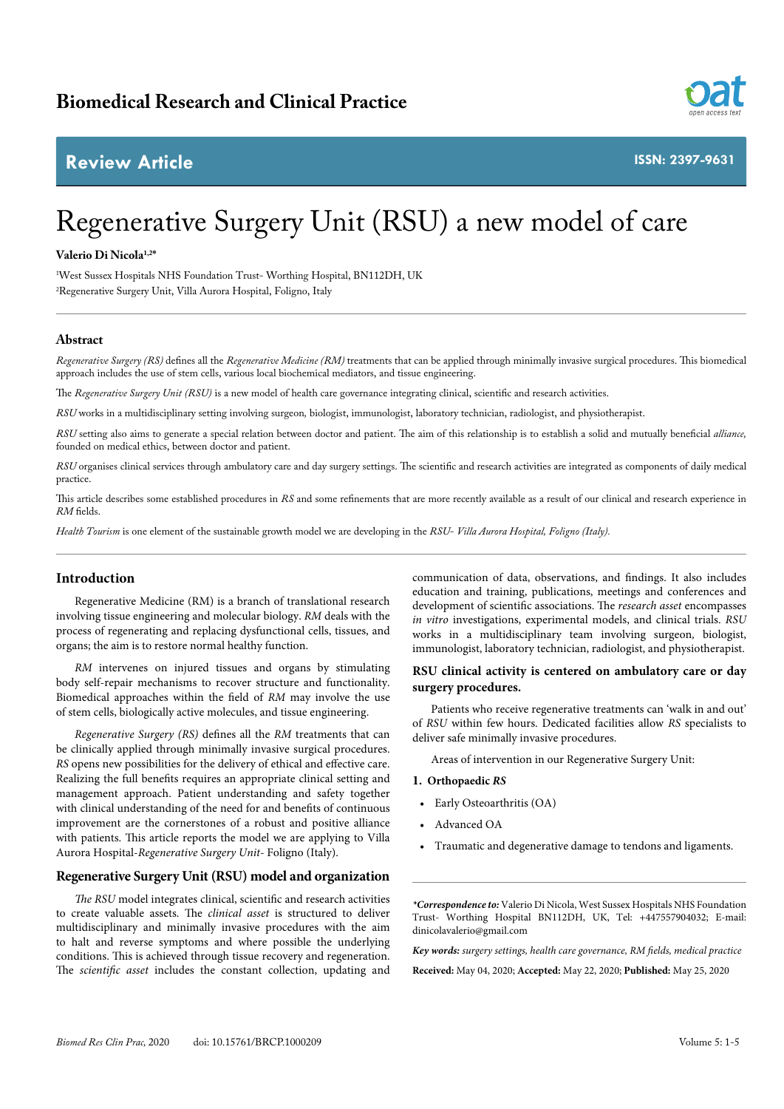## **Review Article**



**ISSN: 2397-9631**

# Regenerative Surgery Unit (RSU) a new model of care

#### **Valerio Di Nicola1,2\***

1 West Sussex Hospitals NHS Foundation Trust- Worthing Hospital, BN112DH, UK 2 Regenerative Surgery Unit, Villa Aurora Hospital, Foligno, Italy

#### **Abstract**

*Regenerative Surgery (RS)* defines all the *Regenerative Medicine (RM)* treatments that can be applied through minimally invasive surgical procedures. This biomedical approach includes the use of stem cells, various local biochemical mediators, and tissue engineering.

The *Regenerative Surgery Unit (RSU)* is a new model of health care governance integrating clinical, scientific and research activities.

*RSU* works in a multidisciplinary setting involving surgeon*,* biologist, immunologist, laboratory technician, radiologist, and physiotherapist.

*RSU* setting also aims to generate a special relation between doctor and patient. The aim of this relationship is to establish a solid and mutually beneficial *alliance,*  founded on medical ethics, between doctor and patient.

*RSU* organises clinical services through ambulatory care and day surgery settings. The scientific and research activities are integrated as components of daily medical practice.

This article describes some established procedures in *RS* and some refinements that are more recently available as a result of our clinical and research experience in *RM* fields.

*Health Tourism* is one element of the sustainable growth model we are developing in the *RSU*- *Villa Aurora Hospital, Foligno (Italy).*

#### **Introduction**

Regenerative Medicine (RM) is a branch of translational research involving tissue engineering and molecular biology. *RM* deals with the process of regenerating and replacing dysfunctional cells, tissues, and organs; the aim is to restore normal healthy function.

*RM* intervenes on injured tissues and organs by stimulating body self-repair mechanisms to recover structure and functionality. Biomedical approaches within the field of *RM* may involve the use of stem cells, biologically active molecules, and tissue engineering.

*Regenerative Surgery (RS)* defines all the *RM* treatments that can be clinically applied through minimally invasive surgical procedures. *RS* opens new possibilities for the delivery of ethical and effective care. Realizing the full benefits requires an appropriate clinical setting and management approach. Patient understanding and safety together with clinical understanding of the need for and benefits of continuous improvement are the cornerstones of a robust and positive alliance with patients. This article reports the model we are applying to Villa Aurora Hospital-*Regenerative Surgery Unit*- Foligno (Italy).

#### **Regenerative Surgery Unit (RSU) model and organization**

*The RSU* model integrates clinical, scientific and research activities to create valuable assets. The *clinical asset* is structured to deliver multidisciplinary and minimally invasive procedures with the aim to halt and reverse symptoms and where possible the underlying conditions. This is achieved through tissue recovery and regeneration. The *scientific asset* includes the constant collection, updating and

communication of data, observations, and findings. It also includes education and training, publications, meetings and conferences and development of scientific associations. The *research asset* encompasses *in vitro* investigations, experimental models, and clinical trials. *RSU*  works in a multidisciplinary team involving surgeon*,* biologist, immunologist, laboratory technician, radiologist, and physiotherapist.

#### **RSU clinical activity is centered on ambulatory care or day surgery procedures.**

Patients who receive regenerative treatments can 'walk in and out' of *RSU* within few hours. Dedicated facilities allow *RS* specialists to deliver safe minimally invasive procedures.

Areas of intervention in our Regenerative Surgery Unit:

#### **1. Orthopaedic** *RS*

- Early Osteoarthritis (OA)
- Advanced OA
- Traumatic and degenerative damage to tendons and ligaments.

*\*Correspondence to:* Valerio Di Nicola, West Sussex Hospitals NHS Foundation Trust- Worthing Hospital BN112DH, UK, Tel: +447557904032; E-mail: dinicolavalerio@gmail.com

*Key words: surgery settings, health care governance, RM fields, medical practice* **Received:** May 04, 2020; **Accepted:** May 22, 2020; **Published:** May 25, 2020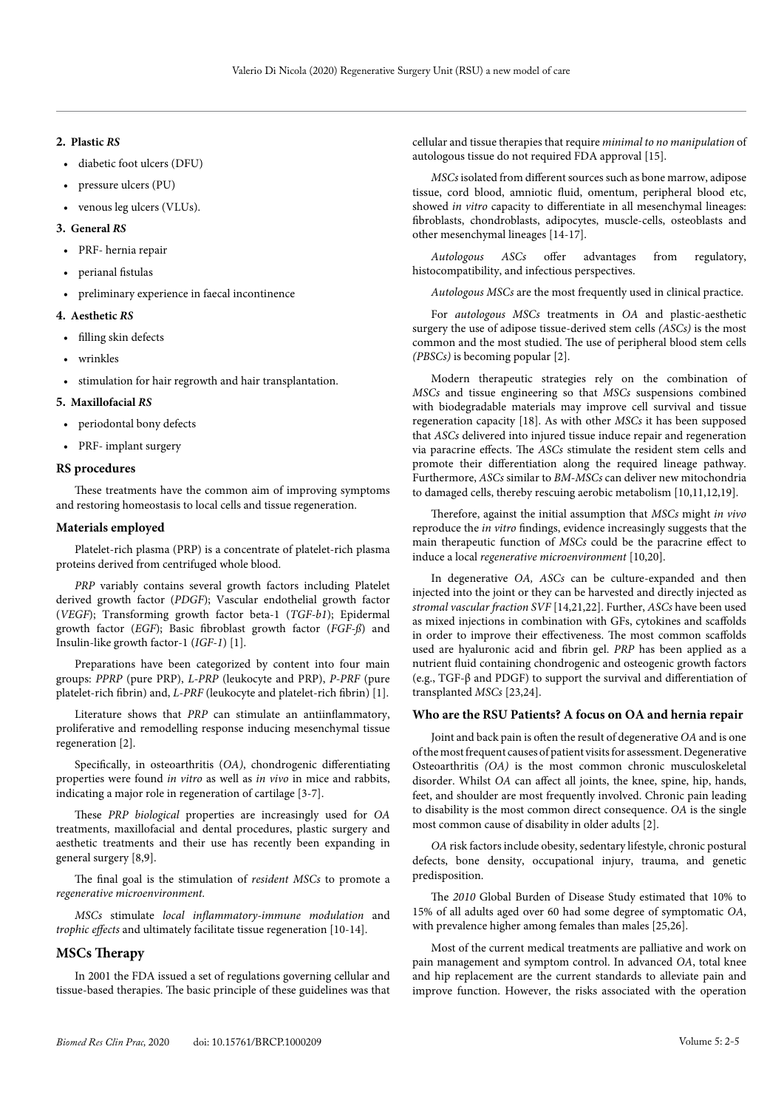#### **2. Plastic** *RS*

- diabetic foot ulcers (DFU)
- pressure ulcers (PU)
- venous leg ulcers (VLUs).

#### **3. General** *RS*

- PRF- hernia repair
- perianal fistulas
- preliminary experience in faecal incontinence

#### **4. Aesthetic** *RS*

- filling skin defects
- wrinkles
- stimulation for hair regrowth and hair transplantation.

#### **5. Maxillofacial** *RS*

- periodontal bony defects
- PRF- implant surgery

#### **RS procedures**

These treatments have the common aim of improving symptoms and restoring homeostasis to local cells and tissue regeneration.

#### **Materials employed**

Platelet-rich plasma (PRP) is a concentrate of platelet-rich plasma proteins derived from centrifuged whole blood.

*PRP* variably contains several growth factors including Platelet derived growth factor (*PDGF*); Vascular endothelial growth factor (*VEGF*); Transforming growth factor beta-1 (*TGF-b1*); Epidermal growth factor (*EGF*); Basic fibroblast growth factor (*FGF-ß*) and Insulin-like growth factor-1 (*IGF-1*) [1].

Preparations have been categorized by content into four main groups: *PPRP* (pure PRP), *L-PRP* (leukocyte and PRP), *P-PRF* (pure platelet-rich fibrin) and, *L-PRF* (leukocyte and platelet-rich fibrin) [1].

Literature shows that *PRP* can stimulate an antiinflammatory, proliferative and remodelling response inducing mesenchymal tissue regeneration [2].

Specifically, in osteoarthritis (*OA)*, chondrogenic differentiating properties were found *in vitro* as well as *in vivo* in mice and rabbits, indicating a major role in regeneration of cartilage [3-7].

These *PRP biological* properties are increasingly used for *OA* treatments, maxillofacial and dental procedures, plastic surgery and aesthetic treatments and their use has recently been expanding in general surgery [8,9].

The final goal is the stimulation of *resident MSCs* to promote a *regenerative microenvironment.*

*MSCs* stimulate *local inflammatory-immune modulation* and *trophic effects* and ultimately facilitate tissue regeneration [10-14].

#### **MSCs Therapy**

In 2001 the FDA issued a set of regulations governing cellular and tissue-based therapies. The basic principle of these guidelines was that cellular and tissue therapies that require *minimal to no manipulation* of autologous tissue do not required FDA approval [15].

*MSCs* isolated from different sources such as bone marrow, adipose tissue, cord blood, amniotic fluid, omentum, peripheral blood etc, showed *in vitro* capacity to differentiate in all mesenchymal lineages: fibroblasts, chondroblasts, adipocytes, muscle-cells, osteoblasts and other mesenchymal lineages [14-17].

*Autologous ASCs* offer advantages from regulatory, histocompatibility, and infectious perspectives.

*Autologous MSCs* are the most frequently used in clinical practice.

For *autologous MSCs* treatments in *OA* and plastic-aesthetic surgery the use of adipose tissue-derived stem cells *(ASCs)* is the most common and the most studied. The use of peripheral blood stem cells *(PBSCs)* is becoming popular [2].

Modern therapeutic strategies rely on the combination of *MSCs* and tissue engineering so that *MSCs* suspensions combined with biodegradable materials may improve cell survival and tissue regeneration capacity [18]. As with other *MSCs* it has been supposed that *ASCs* delivered into injured tissue induce repair and regeneration via paracrine effects. The *ASCs* stimulate the resident stem cells and promote their differentiation along the required lineage pathway. Furthermore, *ASCs* similar to *BM-MSCs* can deliver new mitochondria to damaged cells, thereby rescuing aerobic metabolism [10,11,12,19].

Therefore, against the initial assumption that *MSCs* might *in vivo* reproduce the *in vitro* findings, evidence increasingly suggests that the main therapeutic function of *MSCs* could be the paracrine effect to induce a local *regenerative microenvironment* [10,20].

In degenerative *OA, ASCs* can be culture-expanded and then injected into the joint or they can be harvested and directly injected as *stromal vascular fraction SVF* [14,21,22]. Further, *ASCs* have been used as mixed injections in combination with GFs, cytokines and scaffolds in order to improve their effectiveness. The most common scaffolds used are hyaluronic acid and fibrin gel. *PRP* has been applied as a nutrient fluid containing chondrogenic and osteogenic growth factors (e.g., TGF-β and PDGF) to support the survival and differentiation of transplanted *MSCs* [23,24].

### **Who are the RSU Patients? A focus on OA and hernia repair**

Joint and back pain is often the result of degenerative *OA* and is one of the most frequent causes of patient visits for assessment. Degenerative Osteoarthritis *(OA)* is the most common chronic musculoskeletal disorder. Whilst *OA* can affect all joints, the knee, spine, hip, hands, feet, and shoulder are most frequently involved. Chronic pain leading to disability is the most common direct consequence. *OA* is the single most common cause of disability in older adults [2].

*OA* risk factors include obesity, sedentary lifestyle, chronic postural defects, bone density, occupational injury, trauma, and genetic predisposition.

The *2010* Global Burden of Disease Study estimated that 10% to 15% of all adults aged over 60 had some degree of symptomatic *OA*, with prevalence higher among females than males [25,26].

Most of the current medical treatments are palliative and work on pain management and symptom control. In advanced *OA*, total knee and hip replacement are the current standards to alleviate pain and improve function. However, the risks associated with the operation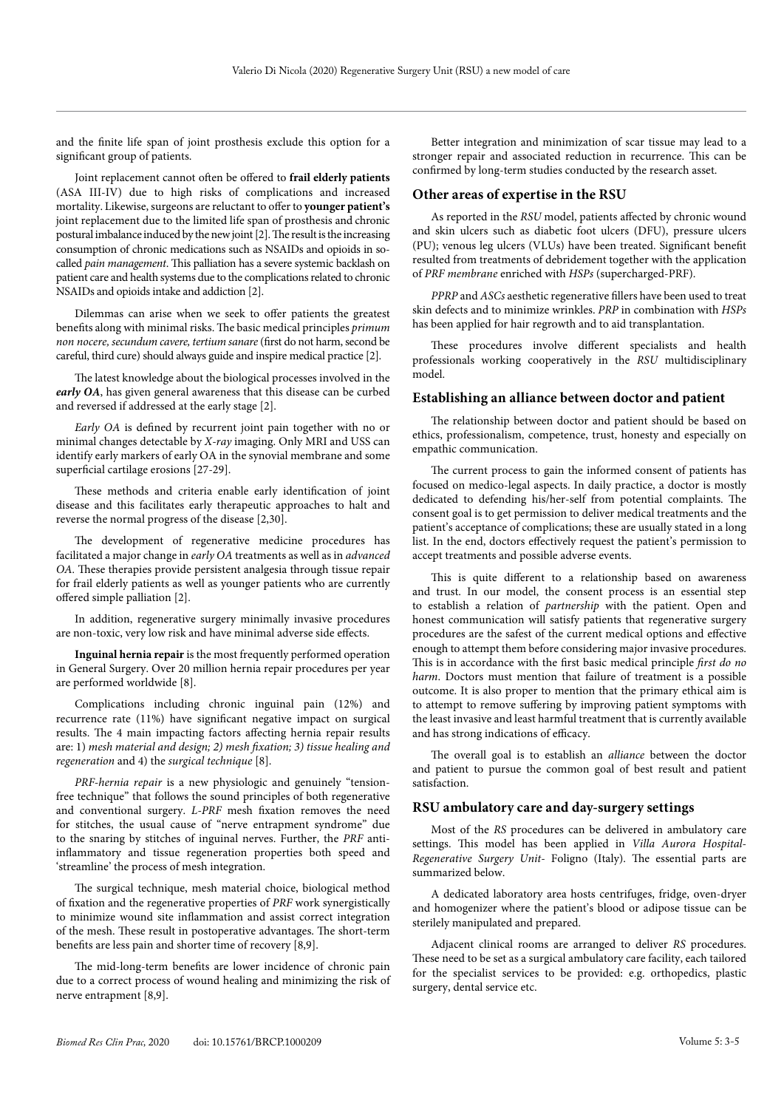and the finite life span of joint prosthesis exclude this option for a significant group of patients.

Joint replacement cannot often be offered to **frail elderly patients** (ASA III-IV) due to high risks of complications and increased mortality. Likewise, surgeons are reluctant to offer to **younger patient's** joint replacement due to the limited life span of prosthesis and chronic postural imbalance induced by the new joint [2]. The result is the increasing consumption of chronic medications such as NSAIDs and opioids in socalled *pain management*. This palliation has a severe systemic backlash on patient care and health systems due to the complications related to chronic NSAIDs and opioids intake and addiction [2].

Dilemmas can arise when we seek to offer patients the greatest benefits along with minimal risks. The basic medical principles *primum non nocere, secundum cavere, tertium sanare* (first do not harm, second be careful, third cure) should always guide and inspire medical practice [2].

The latest knowledge about the biological processes involved in the *early OA*, has given general awareness that this disease can be curbed and reversed if addressed at the early stage [2].

*Early OA* is defined by recurrent joint pain together with no or minimal changes detectable by *X-ray* imaging. Only MRI and USS can identify early markers of early OA in the synovial membrane and some superficial cartilage erosions [27-29].

These methods and criteria enable early identification of joint disease and this facilitates early therapeutic approaches to halt and reverse the normal progress of the disease [2,30].

The development of regenerative medicine procedures has facilitated a major change in *early OA* treatments as well as in *advanced OA.* These therapies provide persistent analgesia through tissue repair for frail elderly patients as well as younger patients who are currently offered simple palliation [2].

In addition, regenerative surgery minimally invasive procedures are non-toxic, very low risk and have minimal adverse side effects.

**Inguinal hernia repair** is the most frequently performed operation in General Surgery. Over 20 million hernia repair procedures per year are performed worldwide [8].

Complications including chronic inguinal pain (12%) and recurrence rate (11%) have significant negative impact on surgical results. The 4 main impacting factors affecting hernia repair results are: 1) *mesh material and design; 2) mesh fixation; 3) tissue healing and regeneration* and 4) the *surgical technique* [8].

*PRF-hernia repair* is a new physiologic and genuinely "tensionfree technique" that follows the sound principles of both regenerative and conventional surgery. *L-PRF* mesh fixation removes the need for stitches, the usual cause of "nerve entrapment syndrome" due to the snaring by stitches of inguinal nerves. Further, the *PRF* antiinflammatory and tissue regeneration properties both speed and 'streamline' the process of mesh integration.

The surgical technique, mesh material choice, biological method of fixation and the regenerative properties of *PRF* work synergistically to minimize wound site inflammation and assist correct integration of the mesh. These result in postoperative advantages. The short-term benefits are less pain and shorter time of recovery [8,9].

The mid-long-term benefits are lower incidence of chronic pain due to a correct process of wound healing and minimizing the risk of nerve entrapment [8,9].

Better integration and minimization of scar tissue may lead to a stronger repair and associated reduction in recurrence. This can be confirmed by long-term studies conducted by the research asset.

#### **Other areas of expertise in the RSU**

As reported in the *RSU* model, patients affected by chronic wound and skin ulcers such as diabetic foot ulcers (DFU), pressure ulcers (PU); venous leg ulcers (VLUs) have been treated. Significant benefit resulted from treatments of debridement together with the application of *PRF membrane* enriched with *HSPs* (supercharged-PRF).

*PPRP* and *ASCs* aesthetic regenerative fillers have been used to treat skin defects and to minimize wrinkles. *PRP* in combination with *HSPs* has been applied for hair regrowth and to aid transplantation.

These procedures involve different specialists and health professionals working cooperatively in the *RSU* multidisciplinary model.

#### **Establishing an alliance between doctor and patient**

The relationship between doctor and patient should be based on ethics, professionalism, competence, trust, honesty and especially on empathic communication.

The current process to gain the informed consent of patients has focused on medico-legal aspects. In daily practice, a doctor is mostly dedicated to defending his/her-self from potential complaints. The consent goal is to get permission to deliver medical treatments and the patient's acceptance of complications; these are usually stated in a long list. In the end, doctors effectively request the patient's permission to accept treatments and possible adverse events.

This is quite different to a relationship based on awareness and trust. In our model, the consent process is an essential step to establish a relation of *partnership* with the patient. Open and honest communication will satisfy patients that regenerative surgery procedures are the safest of the current medical options and effective enough to attempt them before considering major invasive procedures. This is in accordance with the first basic medical principle *first do no harm*. Doctors must mention that failure of treatment is a possible outcome. It is also proper to mention that the primary ethical aim is to attempt to remove suffering by improving patient symptoms with the least invasive and least harmful treatment that is currently available and has strong indications of efficacy.

The overall goal is to establish an *alliance* between the doctor and patient to pursue the common goal of best result and patient satisfaction.

#### **RSU ambulatory care and day-surgery settings**

Most of the *RS* procedures can be delivered in ambulatory care settings. This model has been applied in *Villa Aurora Hospital-Regenerative Surgery Unit-* Foligno (Italy). The essential parts are summarized below.

A dedicated laboratory area hosts centrifuges, fridge, oven-dryer and homogenizer where the patient's blood or adipose tissue can be sterilely manipulated and prepared.

Adjacent clinical rooms are arranged to deliver *RS* procedures. These need to be set as a surgical ambulatory care facility, each tailored for the specialist services to be provided: e.g. orthopedics, plastic surgery, dental service etc.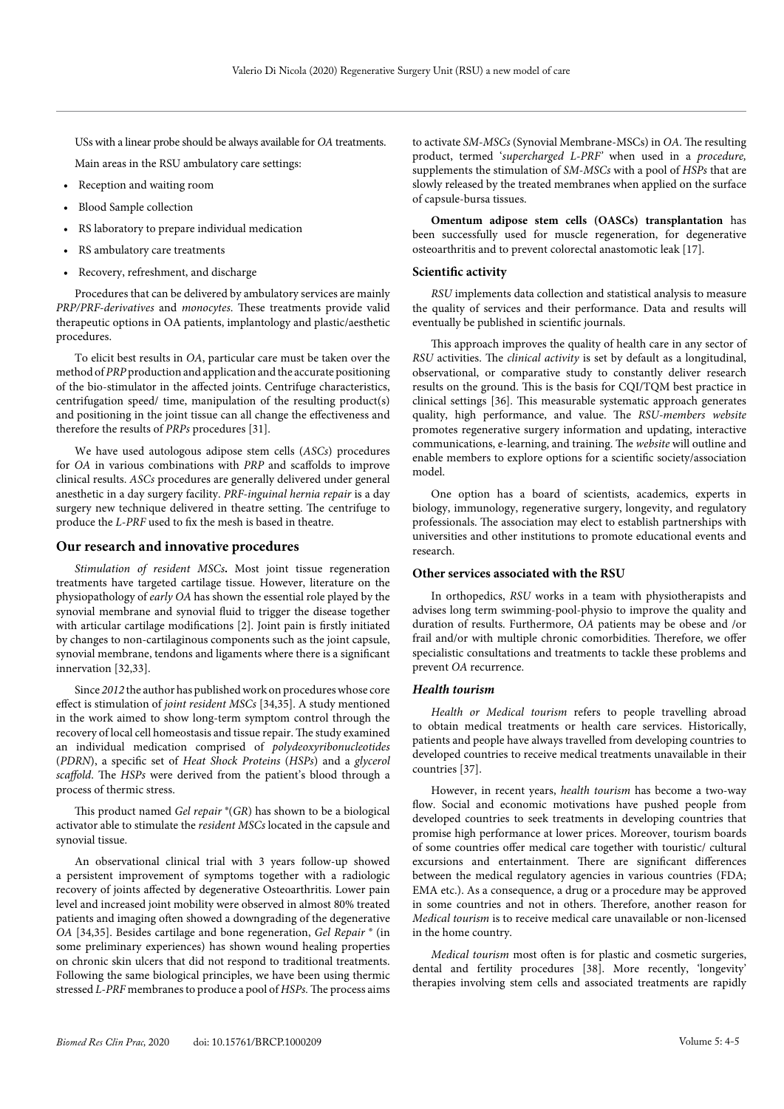USs with a linear probe should be always available for *OA* treatments.

Main areas in the RSU ambulatory care settings:

- Reception and waiting room
- Blood Sample collection
- RS laboratory to prepare individual medication
- RS ambulatory care treatments
- Recovery, refreshment, and discharge

Procedures that can be delivered by ambulatory services are mainly *PRP/PRF-derivatives* and *monocytes*. These treatments provide valid therapeutic options in OA patients, implantology and plastic/aesthetic procedures.

To elicit best results in *OA*, particular care must be taken over the method of *PRP* production and application and the accurate positioning of the bio-stimulator in the affected joints. Centrifuge characteristics, centrifugation speed/ time, manipulation of the resulting product(s) and positioning in the joint tissue can all change the effectiveness and therefore the results of *PRPs* procedures [31].

We have used autologous adipose stem cells (*ASCs*) procedures for *OA* in various combinations with *PRP* and scaffolds to improve clinical results. *ASCs* procedures are generally delivered under general anesthetic in a day surgery facility. *PRF-inguinal hernia repair* is a day surgery new technique delivered in theatre setting. The centrifuge to produce the *L-PRF* used to fix the mesh is based in theatre.

#### **Our research and innovative procedures**

*Stimulation of resident MSCs***.** Most joint tissue regeneration treatments have targeted cartilage tissue. However, literature on the physiopathology of *early OA* has shown the essential role played by the synovial membrane and synovial fluid to trigger the disease together with articular cartilage modifications [2]. Joint pain is firstly initiated by changes to non-cartilaginous components such as the joint capsule, synovial membrane, tendons and ligaments where there is a significant innervation [32,33].

Since *2012* the author has published work on procedures whose core effect is stimulation of *joint resident MSCs* [34,35]. A study mentioned in the work aimed to show long-term symptom control through the recovery of local cell homeostasis and tissue repair. The study examined an individual medication comprised of *polydeoxyribonucleotides* (*PDRN*), a specific set of *Heat Shock Proteins* (*HSPs*) and a *glycerol scaffold*. The *HSPs* were derived from the patient's blood through a process of thermic stress.

This product named *Gel repair* ®(*GR*) has shown to be a biological activator able to stimulate the *resident MSCs* located in the capsule and synovial tissue.

An observational clinical trial with 3 years follow-up showed a persistent improvement of symptoms together with a radiologic recovery of joints affected by degenerative Osteoarthritis. Lower pain level and increased joint mobility were observed in almost 80% treated patients and imaging often showed a downgrading of the degenerative *OA* [34,35]. Besides cartilage and bone regeneration, *Gel Repair* ® (in some preliminary experiences) has shown wound healing properties on chronic skin ulcers that did not respond to traditional treatments. Following the same biological principles, we have been using thermic stressed *L-PRF* membranes to produce a pool of *HSPs.* The process aims to activate *SM-MSCs* (Synovial Membrane-MSCs) in *OA*. The resulting product, termed '*supercharged L-PRF'* when used in a *procedure,* supplements the stimulation of *SM-MSCs* with a pool of *HSPs* that are slowly released by the treated membranes when applied on the surface of capsule-bursa tissues.

**Omentum adipose stem cells (OASCs) transplantation** has been successfully used for muscle regeneration, for degenerative osteoarthritis and to prevent colorectal anastomotic leak [17].

#### **Scientific activity**

*RSU* implements data collection and statistical analysis to measure the quality of services and their performance. Data and results will eventually be published in scientific journals.

This approach improves the quality of health care in any sector of *RSU* activities. The *clinical activity* is set by default as a longitudinal, observational, or comparative study to constantly deliver research results on the ground. This is the basis for CQI/TQM best practice in clinical settings [36]. This measurable systematic approach generates quality, high performance, and value. The *RSU-members website* promotes regenerative surgery information and updating, interactive communications, e-learning, and training. The *website* will outline and enable members to explore options for a scientific society/association model.

One option has a board of scientists, academics, experts in biology, immunology, regenerative surgery, longevity, and regulatory professionals. The association may elect to establish partnerships with universities and other institutions to promote educational events and research.

#### **Other services associated with the RSU**

In orthopedics, *RSU* works in a team with physiotherapists and advises long term swimming-pool-physio to improve the quality and duration of results. Furthermore, *OA* patients may be obese and /or frail and/or with multiple chronic comorbidities. Therefore, we offer specialistic consultations and treatments to tackle these problems and prevent *OA* recurrence.

#### *Health tourism*

*Health or Medical tourism* refers to people travelling abroad to obtain medical treatments or health care services. Historically, patients and people have always travelled from developing countries to developed countries to receive medical treatments unavailable in their countries [37].

However, in recent years, *health tourism* has become a two-way flow. Social and economic motivations have pushed people from developed countries to seek treatments in developing countries that promise high performance at lower prices. Moreover, tourism boards of some countries offer medical care together with touristic/ cultural excursions and entertainment. There are significant differences between the medical regulatory agencies in various countries (FDA; EMA etc.). As a consequence, a drug or a procedure may be approved in some countries and not in others. Therefore, another reason for *Medical tourism* is to receive medical care unavailable or non-licensed in the home country.

*Medical tourism* most often is for plastic and cosmetic surgeries, dental and fertility procedures [38]. More recently, 'longevity' therapies involving stem cells and associated treatments are rapidly